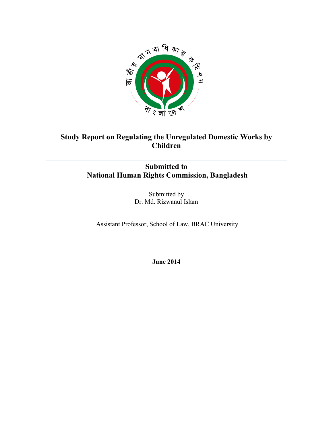

## **Study Report on Regulating the Unregulated Domestic Works by Children**

## **Submitted to National Human Rights Commission, Bangladesh**

Submitted by Dr. Md. Rizwanul Islam

Assistant Professor, School of Law, BRAC University

**June 2014**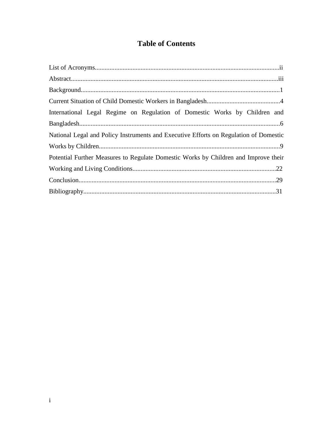# **Table of Contents**

| International Legal Regime on Regulation of Domestic Works by Children and            |  |
|---------------------------------------------------------------------------------------|--|
|                                                                                       |  |
| National Legal and Policy Instruments and Executive Efforts on Regulation of Domestic |  |
|                                                                                       |  |
| Potential Further Measures to Regulate Domestic Works by Children and Improve their   |  |
|                                                                                       |  |
|                                                                                       |  |
|                                                                                       |  |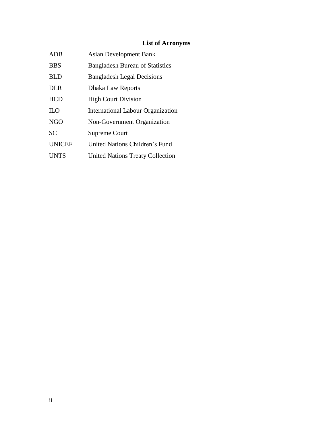## **List of Acronyms**

| <b>ADB</b>    | <b>Asian Development Bank</b>            |
|---------------|------------------------------------------|
| <b>BBS</b>    | <b>Bangladesh Bureau of Statistics</b>   |
| BLD           | <b>Bangladesh Legal Decisions</b>        |
| <b>DLR</b>    | Dhaka Law Reports                        |
| <b>HCD</b>    | <b>High Court Division</b>               |
| <b>ILO</b>    | <b>International Labour Organization</b> |
| <b>NGO</b>    | Non-Government Organization              |
| <b>SC</b>     | <b>Supreme Court</b>                     |
| <b>UNICEF</b> | United Nations Children's Fund           |
| <b>UNTS</b>   | <b>United Nations Treaty Collection</b>  |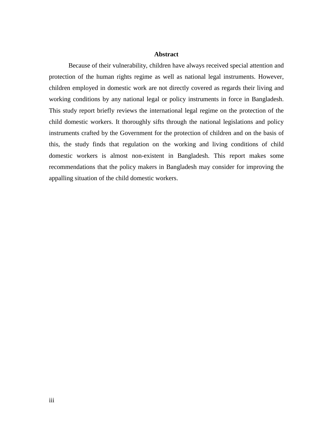#### **Abstract**

Because of their vulnerability, children have always received special attention and protection of the human rights regime as well as national legal instruments. However, children employed in domestic work are not directly covered as regards their living and working conditions by any national legal or policy instruments in force in Bangladesh. This study report briefly reviews the international legal regime on the protection of the child domestic workers. It thoroughly sifts through the national legislations and policy instruments crafted by the Government for the protection of children and on the basis of this, the study finds that regulation on the working and living conditions of child domestic workers is almost non-existent in Bangladesh. This report makes some recommendations that the policy makers in Bangladesh may consider for improving the appalling situation of the child domestic workers.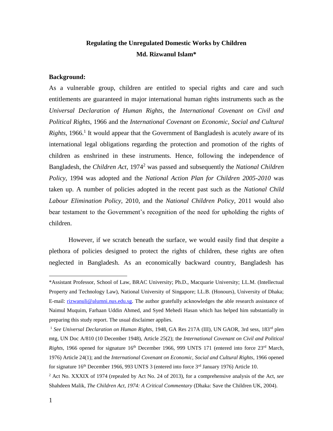### **Regulating the Unregulated Domestic Works by Children Md. Rizwanul Islam\***

#### **Background:**

As a vulnerable group, children are entitled to special rights and care and such entitlements are guaranteed in major international human rights instruments such as the *Universal Declaration of Human Rights*, the *International Covenant on Civil and Political Rights*, 1966 and the *International Covenant on Economic, Social and Cultural Rights*, 1966.<sup>1</sup> It would appear that the Government of Bangladesh is acutely aware of its international legal obligations regarding the protection and promotion of the rights of children as enshrined in these instruments. Hence, following the independence of Bangladesh, the *Children Act*, 1974<sup>2</sup> was passed and subsequently the *National Children Policy*, 1994 was adopted and the *National Action Plan for Children 2005-2010* was taken up. A number of policies adopted in the recent past such as the *National Child Labour Elimination Policy*, 2010, and the *National Children Policy*, 2011 would also bear testament to the Government's recognition of the need for upholding the rights of children.

However, if we scratch beneath the surface, we would easily find that despite a plethora of policies designed to protect the rights of children, these rights are often neglected in Bangladesh. As an economically backward country, Bangladesh has

<sup>\*</sup>Assistant Professor, School of Law, BRAC University; Ph.D., Macquarie University; LL.M. (Intellectual Property and Technology Law), National University of Singapore; LL.B. (Honours), University of Dhaka; E-mail: [rizwanuli@alumni.nus.edu.sg.](mailto:rizwanuli@alumni.nus.edu.sg) The author gratefully acknowledges the able research assistance of Naimul Muquim, Farhaan Uddin Ahmed, and Syed Mehedi Hasan which has helped him substantially in preparing this study report. The usual disclaimer applies.

<sup>1</sup> *See Universal Declaration on Human Rights*, 1948, GA Res 217A (III), UN GAOR, 3rd sess, 183rd plen mtg, UN Doc A/810 (10 December 1948), Article 25(2); the *International Covenant on Civil and Political Rights*, 1966 opened for signature 16<sup>th</sup> December 1966, 999 UNTS 171 (entered into force 23<sup>rd</sup> March, 1976) Article 24(1); and the *International Covenant on Economic, Social and Cultural Rights*, 1966 opened for signature  $16<sup>th</sup>$  December 1966, 993 UNTS 3 (entered into force  $3<sup>rd</sup>$  January 1976) Article 10.

<sup>2</sup> Act No. XXXIX of 1974 (repealed by Act No. 24 of 2013), for a comprehensive analysis of the Act, *see*  Shahdeen Malik, *The Children Act, 1974: A Critical Commentary* (Dhaka: Save the Children UK, 2004).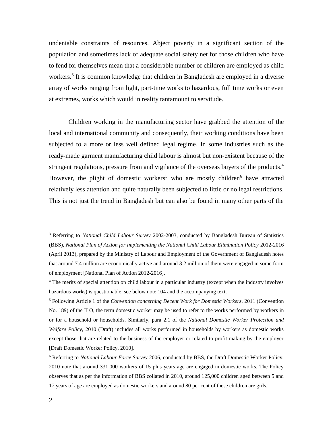undeniable constraints of resources. Abject poverty in a significant section of the population and sometimes lack of adequate social safety net for those children who have to fend for themselves mean that a considerable number of children are employed as child workers.<sup>3</sup> It is common knowledge that children in Bangladesh are employed in a diverse array of works ranging from light, part-time works to hazardous, full time works or even at extremes, works which would in reality tantamount to servitude.

Children working in the manufacturing sector have grabbed the attention of the local and international community and consequently, their working conditions have been subjected to a more or less well defined legal regime. In some industries such as the ready-made garment manufacturing child labour is almost but non-existent because of the stringent regulations, pressure from and vigilance of the overseas buyers of the products.<sup>4</sup> However, the plight of domestic workers<sup>5</sup> who are mostly children<sup>6</sup> have attracted relatively less attention and quite naturally been subjected to little or no legal restrictions. This is not just the trend in Bangladesh but can also be found in many other parts of the

<sup>3</sup> Referring to *National Child Labour Survey* 2002-2003, conducted by Bangladesh Bureau of Statistics (BBS), *National Plan of Action for Implementing the National Child Labour Elimination Policy* 2012-2016 (April 2013), prepared by the Ministry of Labour and Employment of the Government of Bangladesh notes that around 7.4 million are economically active and around 3.2 million of them were engaged in some form of employment [National Plan of Action 2012-2016].

<sup>4</sup> The merits of special attention on child labour in a particular industry (except when the industry involves hazardous works) is questionable, see below note 104 and the accompanying text.

<sup>5</sup> Following Article 1 of the *Convention concerning Decent Work for Domestic Workers*, 2011 (Convention No. 189) of the ILO, the term domestic worker may be used to refer to the works performed by workers in or for a household or households. Similarly, para 2.1 of the *National Domestic Worker Protection and Welfare Policy*, 2010 (Draft) includes all works performed in households by workers as domestic works except those that are related to the business of the employer or related to profit making by the employer [Draft Domestic Worker Policy, 2010].

<sup>6</sup> Referring to *National Labour Force Survey* 2006, conducted by BBS, the Draft Domestic Worker Policy, 2010 note that around 331,000 workers of 15 plus years age are engaged in domestic works. The Policy observes that as per the information of BBS collated in 2010, around 125,000 children aged between 5 and 17 years of age are employed as domestic workers and around 80 per cent of these children are girls.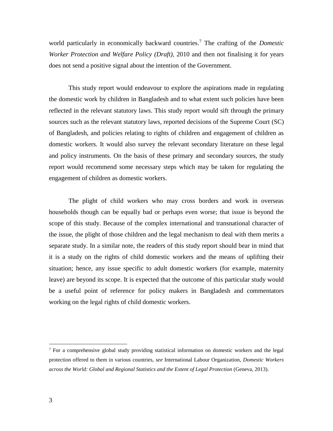world particularly in economically backward countries. <sup>7</sup> The crafting of the *Domestic Worker Protection and Welfare Policy (Draft)*, 2010 and then not finalising it for years does not send a positive signal about the intention of the Government.

This study report would endeavour to explore the aspirations made in regulating the domestic work by children in Bangladesh and to what extent such policies have been reflected in the relevant statutory laws. This study report would sift through the primary sources such as the relevant statutory laws, reported decisions of the Supreme Court (SC) of Bangladesh, and policies relating to rights of children and engagement of children as domestic workers. It would also survey the relevant secondary literature on these legal and policy instruments. On the basis of these primary and secondary sources, the study report would recommend some necessary steps which may be taken for regulating the engagement of children as domestic workers.

The plight of child workers who may cross borders and work in overseas households though can be equally bad or perhaps even worse; that issue is beyond the scope of this study. Because of the complex international and transnational character of the issue, the plight of those children and the legal mechanism to deal with them merits a separate study. In a similar note, the readers of this study report should bear in mind that it is a study on the rights of child domestic workers and the means of uplifting their situation; hence, any issue specific to adult domestic workers (for example, maternity leave) are beyond its scope. It is expected that the outcome of this particular study would be a useful point of reference for policy makers in Bangladesh and commentators working on the legal rights of child domestic workers.

<sup>&</sup>lt;sup>7</sup> For a comprehensive global study providing statistical information on domestic workers and the legal protection offered to them in various countries, *see* International Labour Organization, *Domestic Workers across the World: Global and Regional Statistics and the Extent of Legal Protection* (Geneva, 2013).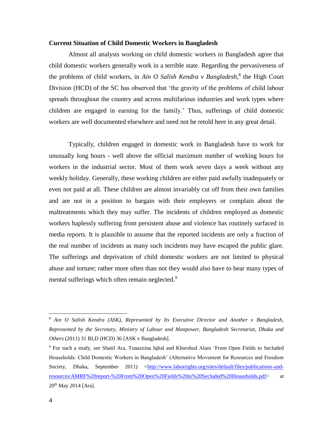#### **Current Situation of Child Domestic Workers in Bangladesh**

Almost all analysts working on child domestic workers in Bangladesh agree that child domestic workers generally work in a terrible state. Regarding the pervasiveness of the problems of child workers, in *Ain O Salish Kendra v Bangladesh*, 8 the High Court Division (HCD) of the SC has observed that 'the gravity of the problems of child labour spreads throughout the country and across multifarious industries and work types where children are engaged in earning for the family.' Thus, sufferings of child domestic workers are well documented elsewhere and need not be retold here in any great detail.

Typically, children engaged in domestic work in Bangladesh have to work for unusually long hours - well above the official maximum number of working hours for workers in the industrial sector. Most of them work seven days a week without any weekly holiday. Generally, these working children are either paid awfully inadequately or even not paid at all. These children are almost invariably cut off from their own families and are not in a position to bargain with their employers or complain about the maltreatments which they may suffer. The incidents of children employed as domestic workers haplessly suffering from persistent abuse and violence has routinely surfaced in media reports. It is plausible to assume that the reported incidents are only a fraction of the real number of incidents as many such incidents may have escaped the public glare. The sufferings and deprivation of child domestic workers are not limited to physical abuse and torture; rather more often than not they would also have to bear many types of mental sufferings which often remain neglected.<sup>9</sup>

<sup>8</sup> *Ain O Salish Kendra (ASK), Represented by Its Executive Director and Another v Bangladesh, Represented by the Secretary, Ministry of Labour and Manpower, Bangladesh Secretariat, Dhaka and Others* (2011) 31 BLD (HCD) 36 [ASK v Bangladesh].

<sup>9</sup> For such a study, *see* Shatil Ara, Tunazzina Iqbal and Khorshed Alam 'From Open Fields to Secluded Households: Child Domestic Workers in Bangladesh' (Alternative Movement for Resources and Freedom Society, Dhaka, September 2011) <http://www.laborrights.org/sites/default/files/publications-andresources/AMRF%20report-%20From%20Open%20Fields%20to%20Secluded%20Households.pdf> at 20th May 2014 [Ara].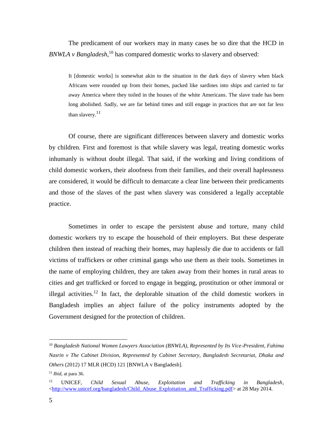The predicament of our workers may in many cases be so dire that the HCD in *BNWLA v Bangladesh*, <sup>10</sup> has compared domestic works to slavery and observed:

It [domestic works] is somewhat akin to the situation in the dark days of slavery when black Africans were rounded up from their homes, packed like sardines into ships and carried to far away America where they toiled in the houses of the white Americans. The slave trade has been long abolished. Sadly, we are far behind times and still engage in practices that are not far less than slavery. $11$ 

Of course, there are significant differences between slavery and domestic works by children. First and foremost is that while slavery was legal, treating domestic works inhumanly is without doubt illegal. That said, if the working and living conditions of child domestic workers, their aloofness from their families, and their overall haplessness are considered, it would be difficult to demarcate a clear line between their predicaments and those of the slaves of the past when slavery was considered a legally acceptable practice.

Sometimes in order to escape the persistent abuse and torture, many child domestic workers try to escape the household of their employers. But these desperate children then instead of reaching their homes, may haplessly die due to accidents or fall victims of traffickers or other criminal gangs who use them as their tools. Sometimes in the name of employing children, they are taken away from their homes in rural areas to cities and get trafficked or forced to engage in begging, prostitution or other immoral or illegal activities.<sup>12</sup> In fact, the deplorable situation of the child domestic workers in Bangladesh implies an abject failure of the policy instruments adopted by the Government designed for the protection of children.

<sup>10</sup> *Bangladesh National Women Lawyers Association (BNWLA), Represented by Its Vice-President, Fahima Nasrin v The Cabinet Division, Represented by Cabinet Secretary, Bangladesh Secretariat, Dhaka and Others* (2012) 17 MLR (HCD) 121 [BNWLA v Bangladesh].

<sup>11</sup> *Ibid*, at para 36.

<sup>12</sup> UNICEF, *Child Sexual Abuse, Exploitation and Trafficking in Bangladesh*, [<http://www.unicef.org/bangladesh/Child\\_Abuse\\_Exploitation\\_and\\_Trafficking.pdf>](http://www.unicef.org/bangladesh/Child_Abuse_Exploitation_and_Trafficking.pdf) at 28 May 2014.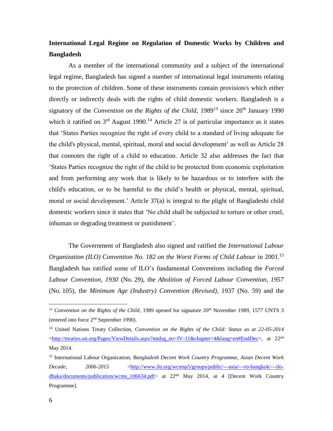## **International Legal Regime on Regulation of Domestic Works by Children and Bangladesh**

As a member of the international community and a subject of the international legal regime, Bangladesh has signed a number of international legal instruments relating to the protection of children. Some of these instruments contain provision/s which either directly or indirectly deals with the rights of child domestic workers. Bangladesh is a signatory of the *Convention on the Rights of the Child*,  $1989<sup>13</sup>$  since  $26<sup>th</sup>$  January 1990 which it ratified on  $3<sup>rd</sup>$  August 1990.<sup>14</sup> Article 27 is of particular importance as it states that 'States Parties recognize the right of every child to a standard of living adequate for the child's physical, mental, spiritual, moral and social development' as well as Article 28 that connotes the right of a child to education. Article 32 also addresses the fact that 'States Parties recognize the right of the child to be protected from economic exploitation and from performing any work that is likely to be hazardous or to interfere with the child's education, or to be harmful to the child's health or physical, mental, spiritual, moral or social development.' Article 37(a) is integral to the plight of Bangladeshi child domestic workers since it states that 'No child shall be subjected to torture or other cruel, inhuman or degrading treatment or punishment'.

The Government of Bangladesh also signed and ratified the *International Labour Organization (ILO) Convention No. 182 on the Worst Forms of Child Labour* in 2001.<sup>15</sup> Bangladesh has ratified some of ILO's fundamental Conventions including the *Forced Labour Convention, 1930* (No. 29), the *Abolition of Forced Labour Convention, 1957*  (No. 105), the *Minimum Age (Industry) Convention (Revised),* 1937 (No. 59) and the

<sup>&</sup>lt;sup>13</sup> Convention on the Rights of the Child, 1989 opened for signature 20<sup>th</sup> November 1989, 1577 UNTS 3 (entered into force 2nd September 1990).

<sup>14</sup> United Nations Treaty Collection, *Convention on the Rights of the Child: Status as at 22-05-2014* <http://treaties.un.org/Pages/ViewDetails.aspx?mtdsg\_no=IV-11&chapter=4&lang=en#EndDec>, at 22<sup>nd</sup> May 2014.

<sup>15</sup> International Labour Organization, *Bangladesh Decent Work Country Programme*, *Asian Decent Work Decade, 2006-2015* <http://www.ilo.org/wcmsp5/groups/public/---asia/---ro-bangkok/---ilodhaka/documents/publication/wcms  $106634.pdf$  at  $22<sup>nd</sup>$  May 2014, at 4 [Decent Work Country Programme].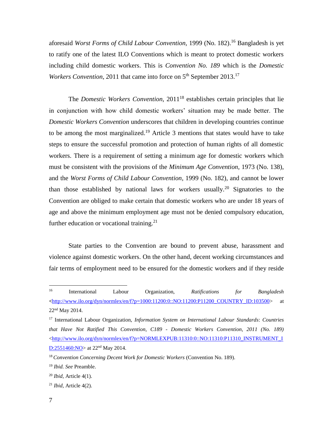aforesaid *Worst Forms of Child Labour Convention,* 1999 (No. 182).<sup>16</sup> Bangladesh is yet to ratify one of the latest ILO Conventions which is meant to protect domestic workers including child domestic workers. This is *Convention No. 189* which is the *Domestic Workers Convention*, 2011 that came into force on 5<sup>th</sup> September 2013.<sup>17</sup>

The *Domestic Workers Convention*, 2011<sup>18</sup> establishes certain principles that lie in conjunction with how child domestic workers' situation may be made better. The *Domestic Workers Convention* underscores that children in developing countries continue to be among the most marginalized.<sup>19</sup> Article 3 mentions that states would have to take steps to ensure the successful promotion and protection of human rights of all domestic workers. There is a requirement of setting a minimum age for domestic workers which must be consistent with the provisions of the *Minimum Age Convention*, 1973 (No. 138), and the *Worst Forms of Child Labour Convention*, 1999 (No. 182), and cannot be lower than those established by national laws for workers usually.<sup>20</sup> Signatories to the Convention are obliged to make certain that domestic workers who are under 18 years of age and above the minimum employment age must not be denied compulsory education, further education or vocational training.<sup>21</sup>

State parties to the Convention are bound to prevent abuse, harassment and violence against domestic workers. On the other hand, decent working circumstances and fair terms of employment need to be ensured for the domestic workers and if they reside

<sup>21</sup> *Ibid,* Article 4(2).

 $16<sup>16</sup>$ <sup>16</sup> International Labour Organization, *Ratifications for Bangladesh* **<**[http://www.ilo.org/dyn/normlex/en/f?p=1000:11200:0::NO:11200:P11200\\_COUNTRY\\_ID:103500>](http://www.ilo.org/dyn/normlex/en/f?p=1000:11200:0::NO:11200:P11200_COUNTRY_ID:103500) at 22nd May 2014.

<sup>17</sup> International Labour Organization, *Information System on International Labour Standards*: *Countries that Have Not Ratified This Convention, C189 - Domestic Workers Convention, 2011 (No. 189)* [<http://www.ilo.org/dyn/normlex/en/f?p=NORMLEXPUB:11310:0::NO:11310:P11310\\_INSTRUMENT\\_I](http://www.ilo.org/dyn/normlex/en/f?p=NORMLEXPUB:11310:0::NO:11310:P11310_INSTRUMENT_ID:2551460:NO) D:2551460: NO > at 22<sup>nd</sup> May 2014.

<sup>18</sup> *Convention Concerning Decent Work for Domestic Workers* (Convention No. 189).

<sup>19</sup> *Ibid. See* Preamble.

<sup>20</sup> *Ibid,* Article 4(1).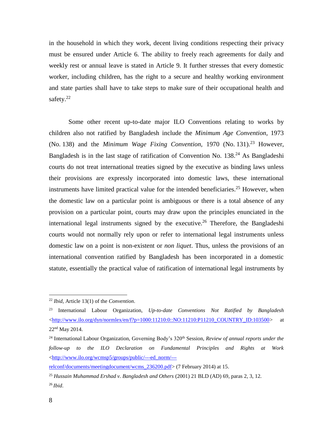in the household in which they work, decent living conditions respecting their privacy must be ensured under Article 6. The ability to freely reach agreements for daily and weekly rest or annual leave is stated in Article 9. It further stresses that every domestic worker, including children, has the right to a secure and healthy working environment and state parties shall have to take steps to make sure of their occupational health and safety.<sup>22</sup>

Some other recent up-to-date major ILO Conventions relating to works by children also not ratified by Bangladesh include the *Minimum Age Convention*, 1973 (No. 138) and the *Minimum Wage Fixing Convention*, 1970 (No. 131).<sup>23</sup> However, Bangladesh is in the last stage of ratification of Convention No. 138.<sup>24</sup> As Bangladeshi courts do not treat international treaties signed by the executive as binding laws unless their provisions are expressly incorporated into domestic laws, these international instruments have limited practical value for the intended beneficiaries. <sup>25</sup> However, when the domestic law on a particular point is ambiguous or there is a total absence of any provision on a particular point, courts may draw upon the principles enunciated in the international legal instruments signed by the executive. <sup>26</sup> Therefore, the Bangladeshi courts would not normally rely upon or refer to international legal instruments unless domestic law on a point is non-existent or *non liquet*. Thus, unless the provisions of an international convention ratified by Bangladesh has been incorporated in a domestic statute, essentially the practical value of ratification of international legal instruments by

<sup>22</sup> *Ibid,* Article 13(1) of the *Convention*.

<sup>23</sup> International Labour Organization, *Up-to-date Conventions Not Ratified by Bangladesh*  $\langle$ http://www.ilo.org/dyn/normlex/en/f?p=1000:11210:0::NO:11210:P11210\_COUNTRY\_ID:103500> at 22nd May 2014.

<sup>&</sup>lt;sup>24</sup> International Labour Organization, Governing Body's 320<sup>th</sup> Session, *Review of annual reports under the follow-up to the ILO Declaration on Fundamental Principles and Rights at Work* <http://www.ilo.org/wcmsp5/groups/public/---ed\_norm/---

relconf/documents/meetingdocument/wcms\_236200.pdf> (7 February 2014) at 15.

<sup>25</sup> *Hussain Muhammad Ershad v. Bangladesh and Others* (2001) 21 BLD (AD) 69, paras 2, 3, 12. <sup>26</sup> *Ibid*.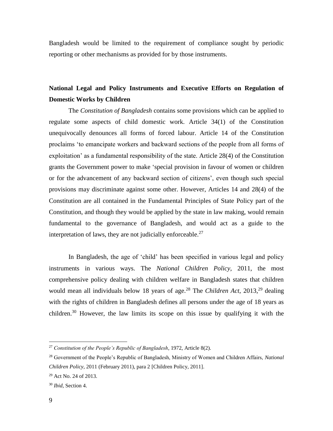Bangladesh would be limited to the requirement of compliance sought by periodic reporting or other mechanisms as provided for by those instruments.

## **National Legal and Policy Instruments and Executive Efforts on Regulation of Domestic Works by Children**

The *Constitution of Bangladesh* contains some provisions which can be applied to regulate some aspects of child domestic work. Article 34(1) of the Constitution unequivocally denounces all forms of forced labour. Article 14 of the Constitution proclaims 'to emancipate workers and backward sections of the people from all forms of exploitation' as a fundamental responsibility of the state. Article 28(4) of the Constitution grants the Government power to make 'special provision in favour of women or children or for the advancement of any backward section of citizens', even though such special provisions may discriminate against some other. However, Articles 14 and 28(4) of the Constitution are all contained in the Fundamental Principles of State Policy part of the Constitution, and though they would be applied by the state in law making, would remain fundamental to the governance of Bangladesh, and would act as a guide to the interpretation of laws, they are not judicially enforceable.<sup>27</sup>

In Bangladesh, the age of 'child' has been specified in various legal and policy instruments in various ways. The *National Children Policy*, 2011, the most comprehensive policy dealing with children welfare in Bangladesh states that children would mean all individuals below 18 years of age.<sup>28</sup> The *Children Act*, 2013,<sup>29</sup> dealing with the rights of children in Bangladesh defines all persons under the age of 18 years as children.<sup>30</sup> However, the law limits its scope on this issue by qualifying it with the

<sup>27</sup> *Constitution of the People's Republic of Bangladesh*, 1972, Article 8(2).

<sup>28</sup> Government of the People's Republic of Bangladesh, Ministry of Women and Children Affairs, *National Children Policy*, 2011 (February 2011), para 2 [Children Policy, 2011].

<sup>29</sup> Act No. 24 of 2013.

<sup>30</sup> *Ibid*, Section 4.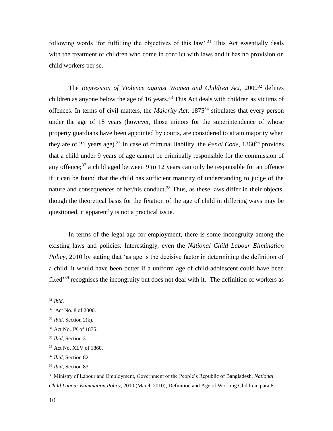following words 'for fulfilling the objectives of this law'.<sup>31</sup> This Act essentially deals with the treatment of children who come in conflict with laws and it has no provision on child workers per se.

The *Repression of Violence against Women and Children Act*, 2000<sup>32</sup> defines children as anyone below the age of 16 years.<sup>33</sup> This Act deals with children as victims of offences. In terms of civil matters, the *Majority Act*, 1875<sup>34</sup> stipulates that every person under the age of 18 years (however, those minors for the superintendence of whose property guardians have been appointed by courts, are considered to attain majority when they are of 21 years age).<sup>35</sup> In case of criminal liability, the *Penal Code*,  $1860^{36}$  provides that a child under 9 years of age cannot be criminally responsible for the commission of any offence;<sup>37</sup> a child aged between 9 to 12 years can only be responsible for an offence if it can be found that the child has sufficient maturity of understanding to judge of the nature and consequences of her/his conduct.<sup>38</sup> Thus, as these laws differ in their objects, though the theoretical basis for the fixation of the age of child in differing ways may be questioned, it apparently is not a practical issue.

In terms of the legal age for employment, there is some incongruity among the existing laws and policies. Interestingly, even the *National Child Labour Elimination Policy*, 2010 by stating that 'as age is the decisive factor in determining the definition of a child, it would have been better if a uniform age of child-adolescent could have been fixed'<sup>39</sup> recognises the incongruity but does not deal with it. The definition of workers as

<sup>31</sup> *Ibid*.

<sup>32</sup> Act No. 8 of 2000.

<sup>33</sup> *Ibid*, Section 2(k).

<sup>34</sup> Act No. IX of 1875.

<sup>35</sup> *Ibid*, Section 3.

<sup>36</sup> Act No. XLV of 1860.

<sup>37</sup> *Ibid*, Section 82.

<sup>38</sup> *Ibid*, Section 83.

<sup>39</sup> Ministry of Labour and Employment, Government of the People's Republic of Bangladesh, *National Child Labour Elimination Policy*, 2010 (March 2010), Definition and Age of Working Children, para 6.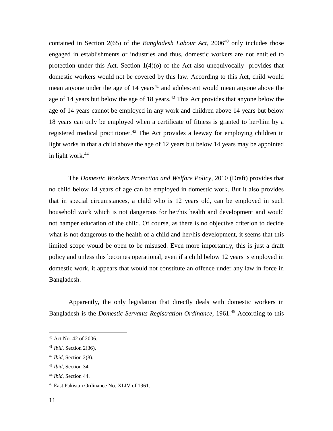contained in Section 2(65) of the *Bangladesh Labour Act*, 2006<sup>40</sup> only includes those engaged in establishments or industries and thus, domestic workers are not entitled to protection under this Act. Section 1(4)(o) of the Act also unequivocally provides that domestic workers would not be covered by this law. According to this Act, child would mean anyone under the age of  $14 \text{ years}^{41}$  and adolescent would mean anyone above the age of 14 years but below the age of 18 years.<sup> $42$ </sup> This Act provides that anyone below the age of 14 years cannot be employed in any work and children above 14 years but below 18 years can only be employed when a certificate of fitness is granted to her/him by a registered medical practitioner.<sup>43</sup> The Act provides a leeway for employing children in light works in that a child above the age of 12 years but below 14 years may be appointed in light work. 44

The *Domestic Workers Protection and Welfare Policy*, 2010 (Draft) provides that no child below 14 years of age can be employed in domestic work. But it also provides that in special circumstances, a child who is 12 years old, can be employed in such household work which is not dangerous for her/his health and development and would not hamper education of the child. Of course, as there is no objective criterion to decide what is not dangerous to the health of a child and her/his development, it seems that this limited scope would be open to be misused. Even more importantly, this is just a draft policy and unless this becomes operational, even if a child below 12 years is employed in domestic work, it appears that would not constitute an offence under any law in force in Bangladesh.

Apparently, the only legislation that directly deals with domestic workers in Bangladesh is the *Domestic Servants Registration Ordinance*, 1961.<sup>45</sup> According to this

<sup>40</sup> Act No. 42 of 2006.

<sup>41</sup> *Ibid*, Section 2(36).

<sup>42</sup> *Ibid*, Section 2(8).

<sup>43</sup> *Ibid*, Section 34.

<sup>44</sup> *Ibid*, Section 44.

<sup>45</sup> East Pakistan Ordinance No. XLIV of 1961.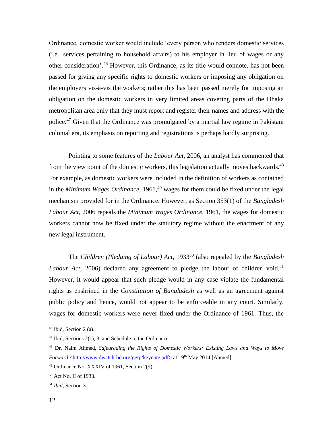Ordinance, domestic worker would include 'every person who renders domestic services (i.e., services pertaining to household affairs) to his employer in lieu of wages or any other consideration'. <sup>46</sup> However, this Ordinance, as its title would connote, has not been passed for giving any specific rights to domestic workers or imposing any obligation on the employers vis-à-vis the workers; rather this has been passed merely for imposing an obligation on the domestic workers in very limited areas covering parts of the Dhaka metropolitan area only that they must report and register their names and address with the police.<sup>47</sup> Given that the Ordinance was promulgated by a martial law regime in Pakistani colonial era, its emphasis on reporting and registrations is perhaps hardly surprising.

Pointing to some features of the *Labour Act*, 2006, an analyst has commented that from the view point of the domestic workers, this legislation actually moves backwards.<sup>48</sup> For example, as domestic workers were included in the definition of workers as contained in the *Minimum Wages Ordinance*, 1961,<sup>49</sup> wages for them could be fixed under the legal mechanism provided for in the Ordinance. However, as Section 353(1) of the *Bangladesh Labour Act*, 2006 repeals the *Minimum Wages Ordinance*, 1961, the wages for domestic workers cannot now be fixed under the statutory regime without the enactment of any new legal instrument.

The *Children (Pledging of Labour) Act*, 1933<sup>50</sup> (also repealed by the *Bangladesh* Labour Act, 2006) declared any agreement to pledge the labour of children void.<sup>51</sup> However, it would appear that such pledge would in any case violate the fundamental rights as enshrined in the *Constitution of Bangladesh* as well as an agreement against public policy and hence, would not appear to be enforceable in any court. Similarly, wages for domestic workers were never fixed under the Ordinance of 1961. Thus, the

 $46$  Ibid, Section 2 (a).

 $47$  Ibid, Sections 2(c), 3, and Schedule to the Ordinance.

<sup>48</sup> Dr. Naim Ahmed, *Safeurading the Rights of Domestic Workers: Existing Laws and Ways to Move Forward* <http://www.dwatch-bd.org/ggtp/keynote.pdf> at 19<sup>th</sup> May 2014 [Ahmed].

<sup>49</sup> Ordinance No. XXXIV of 1961, Section 2(9).

<sup>50</sup> Act No. II of 1933.

<sup>51</sup> *Ibid*, Section 3.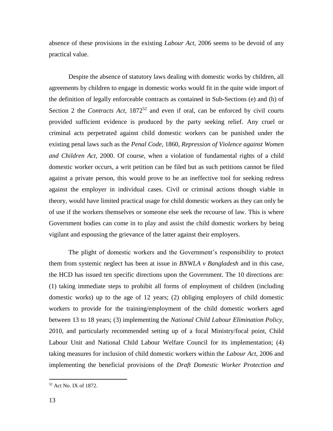absence of these provisions in the existing *Labour Act*, 2006 seems to be devoid of any practical value.

Despite the absence of statutory laws dealing with domestic works by children, all agreements by children to engage in domestic works would fit in the quite wide import of the definition of legally enforceable contracts as contained in Sub-Sections (e) and (h) of Section 2 the *Contracts Act*, 1872<sup>52</sup> and even if oral, can be enforced by civil courts provided sufficient evidence is produced by the party seeking relief. Any cruel or criminal acts perpetrated against child domestic workers can be punished under the existing penal laws such as the *Penal Code*, 1860, *Repression of Violence against Women and Children Act*, 2000. Of course, when a violation of fundamental rights of a child domestic worker occurs, a writ petition can be filed but as such petitions cannot be filed against a private person, this would prove to be an ineffective tool for seeking redress against the employer in individual cases. Civil or criminal actions though viable in theory, would have limited practical usage for child domestic workers as they can only be of use if the workers themselves or someone else seek the recourse of law. This is where Government bodies can come in to play and assist the child domestic workers by being vigilant and espousing the grievance of the latter against their employers.

The plight of domestic workers and the Government's responsibility to protect them from systemic neglect has been at issue in *BNWLA v Bangladesh* and in this case, the HCD has issued ten specific directions upon the Government. The 10 directions are: (1) taking immediate steps to prohibit all forms of employment of children (including domestic works) up to the age of 12 years; (2) obliging employers of child domestic workers to provide for the training/employment of the child domestic workers aged between 13 to 18 years; (3) implementing the *National Child Labour Elimination Policy*, 2010, and particularly recommended setting up of a focal Ministry/focal point, Child Labour Unit and National Child Labour Welfare Council for its implementation; (4) taking measures for inclusion of child domestic workers within the *Labour Act*, 2006 and implementing the beneficial provisions of the *Draft Domestic Worker Protection and* 

<sup>52</sup> Act No. IX of 1872.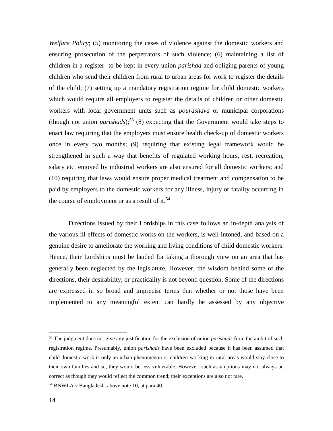*Welfare Policy*; (5) monitoring the cases of violence against the domestic workers and ensuring prosecution of the perpetrators of such violence; (6) maintaining a list of children in a register to be kept in every union *parishad* and obliging parents of young children who send their children from rural to urban areas for work to register the details of the child; (7) setting up a mandatory registration regime for child domestic workers which would require all employers to register the details of children or other domestic workers with local government units such as *pourashava* or municipal corporations (though not union *parishads*); <sup>53</sup> (8) expecting that the Government would take steps to enact law requiring that the employers must ensure health check-up of domestic workers once in every two months; (9) requiring that existing legal framework would be strengthened in such a way that benefits of regulated working hours, rest, recreation, salary etc. enjoyed by industrial workers are also ensured for all domestic workers; and (10) requiring that laws would ensure proper medical treatment and compensation to be paid by employers to the domestic workers for any illness, injury or fatality occurring in the course of employment or as a result of it.<sup>54</sup>

Directions issued by their Lordships in this case follows an in-depth analysis of the various ill effects of domestic works on the workers, is well-intoned, and based on a genuine desire to ameliorate the working and living conditions of child domestic workers. Hence, their Lordships must be lauded for taking a thorough view on an area that has generally been neglected by the legislature. However, the wisdom behind some of the directions, their desirability, or practicality is not beyond question. Some of the directions are expressed in so broad and imprecise terms that whether or not those have been implemented to any meaningful extent can hardly be assessed by any objective

<sup>53</sup> The judgment does not give any justification for the exclusion of union *parishads* from the ambit of such registration regime. Presumably, union p*arishads* have been excluded because it has been assumed that child domestic work is only an urban phenomenon or children working in rural areas would stay close to their own families and so, they would be less vulnerable. However, such assumptions may not always be correct as though they would reflect the common trend; their exceptions are also not rare.

<sup>54</sup> BNWLA v Bangladesh, above note 10, at para 40.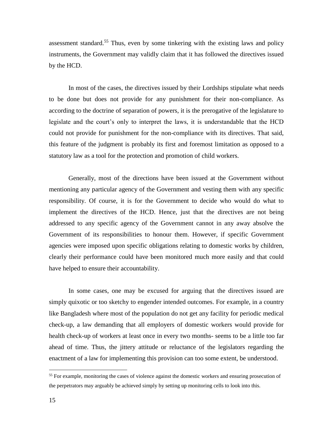assessment standard. <sup>55</sup> Thus, even by some tinkering with the existing laws and policy instruments, the Government may validly claim that it has followed the directives issued by the HCD.

In most of the cases, the directives issued by their Lordships stipulate what needs to be done but does not provide for any punishment for their non-compliance. As according to the doctrine of separation of powers, it is the prerogative of the legislature to legislate and the court's only to interpret the laws, it is understandable that the HCD could not provide for punishment for the non-compliance with its directives. That said, this feature of the judgment is probably its first and foremost limitation as opposed to a statutory law as a tool for the protection and promotion of child workers.

Generally, most of the directions have been issued at the Government without mentioning any particular agency of the Government and vesting them with any specific responsibility. Of course, it is for the Government to decide who would do what to implement the directives of the HCD. Hence, just that the directives are not being addressed to any specific agency of the Government cannot in any away absolve the Government of its responsibilities to honour them. However, if specific Government agencies were imposed upon specific obligations relating to domestic works by children, clearly their performance could have been monitored much more easily and that could have helped to ensure their accountability.

In some cases, one may be excused for arguing that the directives issued are simply quixotic or too sketchy to engender intended outcomes. For example, in a country like Bangladesh where most of the population do not get any facility for periodic medical check-up, a law demanding that all employers of domestic workers would provide for health check-up of workers at least once in every two months- seems to be a little too far ahead of time. Thus, the jittery attitude or reluctance of the legislators regarding the enactment of a law for implementing this provision can too some extent, be understood.

<sup>&</sup>lt;sup>55</sup> For example, monitoring the cases of violence against the domestic workers and ensuring prosecution of the perpetrators may arguably be achieved simply by setting up monitoring cells to look into this.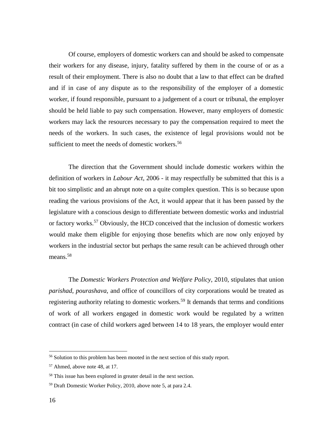Of course, employers of domestic workers can and should be asked to compensate their workers for any disease, injury, fatality suffered by them in the course of or as a result of their employment. There is also no doubt that a law to that effect can be drafted and if in case of any dispute as to the responsibility of the employer of a domestic worker, if found responsible, pursuant to a judgement of a court or tribunal, the employer should be held liable to pay such compensation. However, many employers of domestic workers may lack the resources necessary to pay the compensation required to meet the needs of the workers. In such cases, the existence of legal provisions would not be sufficient to meet the needs of domestic workers.<sup>56</sup>

The direction that the Government should include domestic workers within the definition of workers in *Labour Act*, 2006 - it may respectfully be submitted that this is a bit too simplistic and an abrupt note on a quite complex question. This is so because upon reading the various provisions of the Act, it would appear that it has been passed by the legislature with a conscious design to differentiate between domestic works and industrial or factory works.<sup>57</sup> Obviously, the HCD conceived that the inclusion of domestic workers would make them eligible for enjoying those benefits which are now only enjoyed by workers in the industrial sector but perhaps the same result can be achieved through other means.<sup>58</sup>

The *Domestic Workers Protection and Welfare Policy*, 2010, stipulates that union *parishad*, *pourashava*, and office of councillors of city corporations would be treated as registering authority relating to domestic workers.<sup>59</sup> It demands that terms and conditions of work of all workers engaged in domestic work would be regulated by a written contract (in case of child workers aged between 14 to 18 years, the employer would enter

<sup>&</sup>lt;sup>56</sup> Solution to this problem has been mooted in the next section of this study report.

<sup>57</sup> Ahmed, above note 48, at 17.

<sup>58</sup> This issue has been explored in greater detail in the next section.

<sup>59</sup> Draft Domestic Worker Policy, 2010, above note 5, at para 2.4.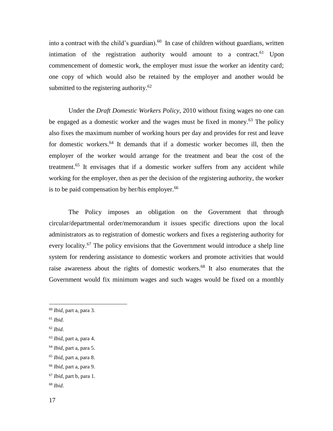into a contract with the child's guardian). $60$  In case of children without guardians, written intimation of the registration authority would amount to a contract.<sup>61</sup> Upon commencement of domestic work, the employer must issue the worker an identity card; one copy of which would also be retained by the employer and another would be submitted to the registering authority. $62$ 

Under the *Draft Domestic Workers Policy*, 2010 without fixing wages no one can be engaged as a domestic worker and the wages must be fixed in money.<sup>63</sup> The policy also fixes the maximum number of working hours per day and provides for rest and leave for domestic workers.<sup>64</sup> It demands that if a domestic worker becomes ill, then the employer of the worker would arrange for the treatment and bear the cost of the treatment.<sup>65</sup> It envisages that if a domestic worker suffers from any accident while working for the employer, then as per the decision of the registering authority, the worker is to be paid compensation by her/his employer. $66$ 

The Policy imposes an obligation on the Government that through circular/departmental order/memorandum it issues specific directions upon the local administrators as to registration of domestic workers and fixes a registering authority for every locality.<sup>67</sup> The policy envisions that the Government would introduce a shelp line system for rendering assistance to domestic workers and promote activities that would raise awareness about the rights of domestic workers.<sup>68</sup> It also enumerates that the Government would fix minimum wages and such wages would be fixed on a monthly

 $\overline{a}$ 

<sup>65</sup> *Ibid*, part a, para 8.

<sup>60</sup> *Ibid*, part a, para 3.

<sup>61</sup> *Ibid*.

<sup>62</sup> *Ibid*.

<sup>63</sup> *Ibid*, part a, para 4.

<sup>64</sup> *Ibid*, part a, para 5.

<sup>66</sup> *Ibid*, part a, para 9.

<sup>67</sup> *Ibid*, part b, para 1.

<sup>68</sup> *Ibid*.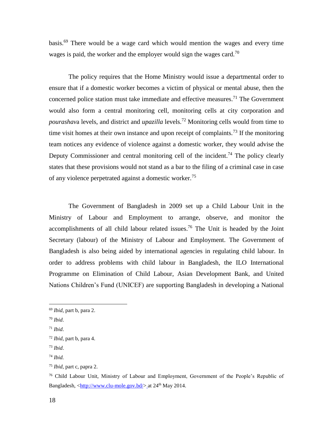basis.<sup>69</sup> There would be a wage card which would mention the wages and every time wages is paid, the worker and the employer would sign the wages card.<sup>70</sup>

The policy requires that the Home Ministry would issue a departmental order to ensure that if a domestic worker becomes a victim of physical or mental abuse, then the concerned police station must take immediate and effective measures.<sup>71</sup> The Government would also form a central monitoring cell, monitoring cells at city corporation and *pourashav*a levels, and district and *upazilla* levels.<sup>72</sup> Monitoring cells would from time to time visit homes at their own instance and upon receipt of complaints.<sup>73</sup> If the monitoring team notices any evidence of violence against a domestic worker, they would advise the Deputy Commissioner and central monitoring cell of the incident.<sup>74</sup> The policy clearly states that these provisions would not stand as a bar to the filing of a criminal case in case of any violence perpetrated against a domestic worker.<sup>75</sup>

The Government of Bangladesh in 2009 set up a Child Labour Unit in the Ministry of Labour and Employment to arrange, observe, and monitor the accomplishments of all child labour related issues.<sup>76</sup> The Unit is headed by the Joint Secretary (labour) of the Ministry of Labour and Employment. The Government of Bangladesh is also being aided by international agencies in regulating child labour. In order to address problems with child labour in Bangladesh, the ILO International Programme on Elimination of Child Labour, Asian Development Bank, and United Nations Children's Fund (UNICEF) are supporting Bangladesh in developing a National

<sup>69</sup> *Ibid*, part b, para 2.

<sup>70</sup> *Ibid*.

<sup>71</sup> *Ibid*.

<sup>72</sup> *Ibid*, part b, para 4.

<sup>73</sup> *Ibid*.

<sup>74</sup> *Ibid.*

<sup>75</sup> *Ibid*, part c, papra 2.

<sup>76</sup> Child Labour Unit, Ministry of Labour and Employment, Government of the People's Republic of Bangladesh, <http://www.clu-mole.gov.bd/> at 24<sup>th</sup> May 2014.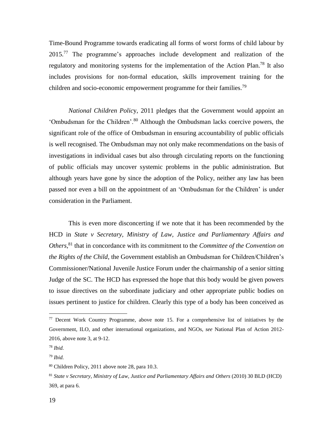Time-Bound Programme towards eradicating all forms of worst forms of child labour by 2015.<sup>77</sup> The programme's approaches include development and realization of the regulatory and monitoring systems for the implementation of the Action Plan.<sup>78</sup> It also includes provisions for non-formal education, skills improvement training for the children and socio-economic empowerment programme for their families.<sup>79</sup>

*National Children Polic*y, 2011 pledges that the Government would appoint an 'Ombudsman for the Children'.<sup>80</sup> Although the Ombudsman lacks coercive powers, the significant role of the office of Ombudsman in ensuring accountability of public officials is well recognised. The Ombudsman may not only make recommendations on the basis of investigations in individual cases but also through circulating reports on the functioning of public officials may uncover systemic problems in the public administration. But although years have gone by since the adoption of the Policy, neither any law has been passed nor even a bill on the appointment of an 'Ombudsman for the Children' is under consideration in the Parliament.

This is even more disconcerting if we note that it has been recommended by the HCD in *State v Secretary, Ministry of Law, Justice and Parliamentary Affairs and Others*, <sup>81</sup> that in concordance with its commitment to the *Committee of the Convention on the Rights of the Child*, the Government establish an Ombudsman for Children/Children's Commissioner/National Juvenile Justice Forum under the chairmanship of a senior sitting Judge of the SC. The HCD has expressed the hope that this body would be given powers to issue directives on the subordinate judiciary and other appropriate public bodies on issues pertinent to justice for children. Clearly this type of a body has been conceived as

<sup>&</sup>lt;sup>77</sup> Decent Work Country Programme, above note 15. For a comprehensive list of initiatives by the Government, ILO, and other international organizations, and NGOs, *see* National Plan of Action 2012- 2016, above note 3, at 9-12.

<sup>78</sup> *Ibid.*

<sup>79</sup> *Ibid.*

<sup>80</sup> Children Policy, 2011 above note 28, para 10.3.

<sup>81</sup> *State v Secretary, Ministry of Law, Justice and Parliamentary Affairs and Others* (2010) 30 BLD (HCD) 369, at para 6.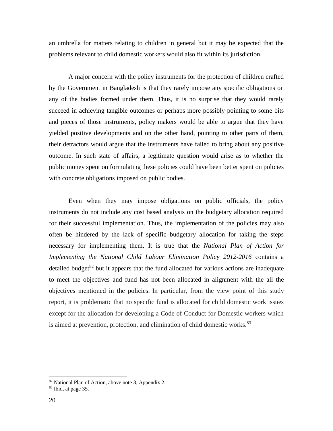an umbrella for matters relating to children in general but it may be expected that the problems relevant to child domestic workers would also fit within its jurisdiction.

A major concern with the policy instruments for the protection of children crafted by the Government in Bangladesh is that they rarely impose any specific obligations on any of the bodies formed under them. Thus, it is no surprise that they would rarely succeed in achieving tangible outcomes or perhaps more possibly pointing to some bits and pieces of those instruments, policy makers would be able to argue that they have yielded positive developments and on the other hand, pointing to other parts of them, their detractors would argue that the instruments have failed to bring about any positive outcome. In such state of affairs, a legitimate question would arise as to whether the public money spent on formulating these policies could have been better spent on policies with concrete obligations imposed on public bodies.

Even when they may impose obligations on public officials, the policy instruments do not include any cost based analysis on the budgetary allocation required for their successful implementation. Thus, the implementation of the policies may also often be hindered by the lack of specific budgetary allocation for taking the steps necessary for implementing them. It is true that the *National Plan of Action for Implementing the National Child Labour Elimination Policy 2012-2016* contains a detailed budget<sup>82</sup> but it appears that the fund allocated for various actions are inadequate to meet the objectives and fund has not been allocated in alignment with the all the objectives mentioned in the policies. In particular, from the view point of this study report, it is problematic that no specific fund is allocated for child domestic work issues except for the allocation for developing a Code of Conduct for Domestic workers which is aimed at prevention, protection, and elimination of child domestic works.<sup>83</sup>

<sup>82</sup> National Plan of Action, above note 3, Appendix 2.

<sup>83</sup> Ibid, at page 35.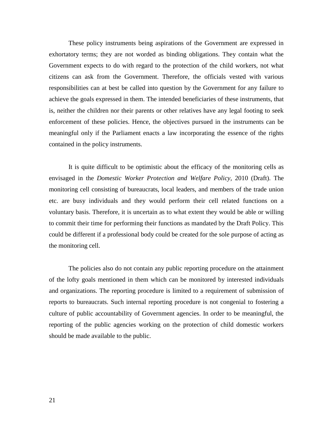These policy instruments being aspirations of the Government are expressed in exhortatory terms; they are not worded as binding obligations. They contain what the Government expects to do with regard to the protection of the child workers, not what citizens can ask from the Government. Therefore, the officials vested with various responsibilities can at best be called into question by the Government for any failure to achieve the goals expressed in them. The intended beneficiaries of these instruments, that is, neither the children nor their parents or other relatives have any legal footing to seek enforcement of these policies. Hence, the objectives pursued in the instruments can be meaningful only if the Parliament enacts a law incorporating the essence of the rights contained in the policy instruments.

It is quite difficult to be optimistic about the efficacy of the monitoring cells as envisaged in the *Domestic Worker Protection and Welfare Policy,* 2010 (Draft). The monitoring cell consisting of bureaucrats, local leaders, and members of the trade union etc. are busy individuals and they would perform their cell related functions on a voluntary basis. Therefore, it is uncertain as to what extent they would be able or willing to commit their time for performing their functions as mandated by the Draft Policy. This could be different if a professional body could be created for the sole purpose of acting as the monitoring cell.

The policies also do not contain any public reporting procedure on the attainment of the lofty goals mentioned in them which can be monitored by interested individuals and organizations. The reporting procedure is limited to a requirement of submission of reports to bureaucrats. Such internal reporting procedure is not congenial to fostering a culture of public accountability of Government agencies. In order to be meaningful, the reporting of the public agencies working on the protection of child domestic workers should be made available to the public.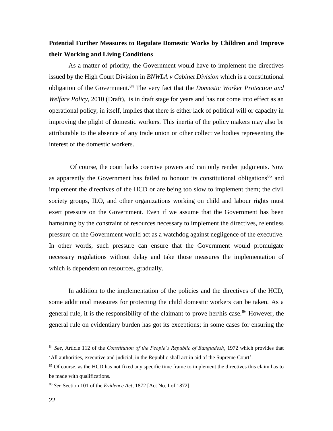### **Potential Further Measures to Regulate Domestic Works by Children and Improve their Working and Living Conditions**

As a matter of priority, the Government would have to implement the directives issued by the High Court Division in *BNWLA v Cabinet Division* which is a constitutional obligation of the Government.<sup>84</sup> The very fact that the *Domestic Worker Protection and Welfare Policy,* 2010 (Draft), is in draft stage for years and has not come into effect as an operational policy, in itself, implies that there is either lack of political will or capacity in improving the plight of domestic workers. This inertia of the policy makers may also be attributable to the absence of any trade union or other collective bodies representing the interest of the domestic workers.

Of course, the court lacks coercive powers and can only render judgments. Now as apparently the Government has failed to honour its constitutional obligations<sup>85</sup> and implement the directives of the HCD or are being too slow to implement them; the civil society groups, ILO, and other organizations working on child and labour rights must exert pressure on the Government. Even if we assume that the Government has been hamstrung by the constraint of resources necessary to implement the directives, relentless pressure on the Government would act as a watchdog against negligence of the executive. In other words, such pressure can ensure that the Government would promulgate necessary regulations without delay and take those measures the implementation of which is dependent on resources, gradually.

In addition to the implementation of the policies and the directives of the HCD, some additional measures for protecting the child domestic workers can be taken. As a general rule, it is the responsibility of the claimant to prove her/his case.<sup>86</sup> However, the general rule on evidentiary burden has got its exceptions; in some cases for ensuring the

<sup>84</sup> *See*, Article 112 of the *Constitution of the People's Republic of Bangladesh*, 1972 which provides that 'All authorities, executive and judicial, in the Republic shall act in aid of the Supreme Court'.

<sup>&</sup>lt;sup>85</sup> Of course, as the HCD has not fixed any specific time frame to implement the directives this claim has to be made with qualifications.

<sup>86</sup> *See* Section 101 of the *Evidence Act*, 1872 [Act No. I of 1872]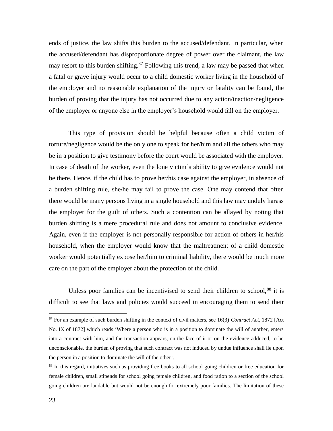ends of justice, the law shifts this burden to the accused/defendant. In particular, when the accused/defendant has disproportionate degree of power over the claimant, the law may resort to this burden shifting. $87$  Following this trend, a law may be passed that when a fatal or grave injury would occur to a child domestic worker living in the household of the employer and no reasonable explanation of the injury or fatality can be found, the burden of proving that the injury has not occurred due to any action/inaction/negligence of the employer or anyone else in the employer's household would fall on the employer.

This type of provision should be helpful because often a child victim of torture/negligence would be the only one to speak for her/him and all the others who may be in a position to give testimony before the court would be associated with the employer. In case of death of the worker, even the lone victim's ability to give evidence would not be there. Hence, if the child has to prove her/his case against the employer, in absence of a burden shifting rule, she/he may fail to prove the case. One may contend that often there would be many persons living in a single household and this law may unduly harass the employer for the guilt of others. Such a contention can be allayed by noting that burden shifting is a mere procedural rule and does not amount to conclusive evidence. Again, even if the employer is not personally responsible for action of others in her/his household, when the employer would know that the maltreatment of a child domestic worker would potentially expose her/him to criminal liability, there would be much more care on the part of the employer about the protection of the child.

Unless poor families can be incentivised to send their children to school, $88$  it is difficult to see that laws and policies would succeed in encouraging them to send their

<sup>87</sup> For an example of such burden shifting in the context of civil matters, see 16(3) *Contract Act*, 1872 [Act No. IX of 1872] which reads 'Where a person who is in a position to dominate the will of another, enters into a contract with him, and the transaction appears, on the face of it or on the evidence adduced, to be unconscionable, the burden of proving that such contract was not induced by undue influence shall lie upon the person in a position to dominate the will of the other'.

<sup>88</sup> In this regard, initiatives such as providing free books to all school going children or free education for female children, small stipends for school going female children, and food ration to a section of the school going children are laudable but would not be enough for extremely poor families. The limitation of these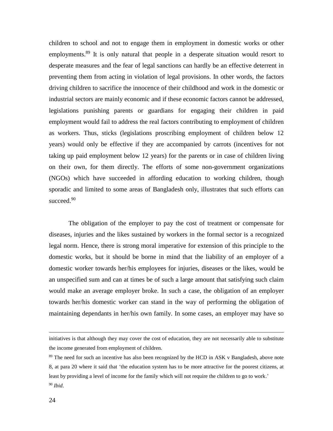children to school and not to engage them in employment in domestic works or other employments.<sup>89</sup> It is only natural that people in a desperate situation would resort to desperate measures and the fear of legal sanctions can hardly be an effective deterrent in preventing them from acting in violation of legal provisions. In other words, the factors driving children to sacrifice the innocence of their childhood and work in the domestic or industrial sectors are mainly economic and if these economic factors cannot be addressed, legislations punishing parents or guardians for engaging their children in paid employment would fail to address the real factors contributing to employment of children as workers. Thus, sticks (legislations proscribing employment of children below 12 years) would only be effective if they are accompanied by carrots (incentives for not taking up paid employment below 12 years) for the parents or in case of children living on their own, for them directly. The efforts of some non-government organizations (NGOs) which have succeeded in affording education to working children, though sporadic and limited to some areas of Bangladesh only, illustrates that such efforts can succeed.<sup>90</sup>

The obligation of the employer to pay the cost of treatment or compensate for diseases, injuries and the likes sustained by workers in the formal sector is a recognized legal norm. Hence, there is strong moral imperative for extension of this principle to the domestic works, but it should be borne in mind that the liability of an employer of a domestic worker towards her/his employees for injuries, diseases or the likes, would be an unspecified sum and can at times be of such a large amount that satisfying such claim would make an average employer broke. In such a case, the obligation of an employer towards her/his domestic worker can stand in the way of performing the obligation of maintaining dependants in her/his own family. In some cases, an employer may have so

initiatives is that although they may cover the cost of education, they are not necessarily able to substitute the income generated from employment of children.

<sup>&</sup>lt;sup>89</sup> The need for such an incentive has also been recognized by the HCD in ASK v Bangladesh, above note 8, at para 20 where it said that 'the education system has to be more attractive for the poorest citizens, at least by providing a level of income for the family which will not require the children to go to work.' <sup>90</sup> *Ibid*.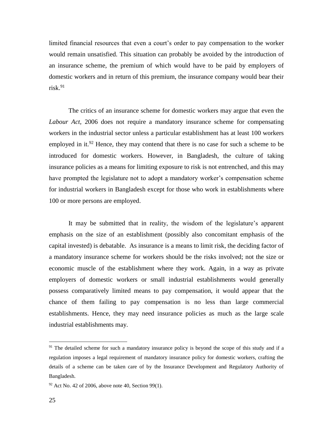limited financial resources that even a court's order to pay compensation to the worker would remain unsatisfied. This situation can probably be avoided by the introduction of an insurance scheme, the premium of which would have to be paid by employers of domestic workers and in return of this premium, the insurance company would bear their risk. $91$ 

The critics of an insurance scheme for domestic workers may argue that even the *Labour Act*, 2006 does not require a mandatory insurance scheme for compensating workers in the industrial sector unless a particular establishment has at least 100 workers employed in it.<sup>92</sup> Hence, they may contend that there is no case for such a scheme to be introduced for domestic workers. However, in Bangladesh, the culture of taking insurance policies as a means for limiting exposure to risk is not entrenched, and this may have prompted the legislature not to adopt a mandatory worker's compensation scheme for industrial workers in Bangladesh except for those who work in establishments where 100 or more persons are employed.

It may be submitted that in reality, the wisdom of the legislature's apparent emphasis on the size of an establishment (possibly also concomitant emphasis of the capital invested) is debatable. As insurance is a means to limit risk, the deciding factor of a mandatory insurance scheme for workers should be the risks involved; not the size or economic muscle of the establishment where they work. Again, in a way as private employers of domestic workers or small industrial establishments would generally possess comparatively limited means to pay compensation, it would appear that the chance of them failing to pay compensation is no less than large commercial establishments. Hence, they may need insurance policies as much as the large scale industrial establishments may.

<sup>&</sup>lt;sup>91</sup> The detailed scheme for such a mandatory insurance policy is beyond the scope of this study and if a regulation imposes a legal requirement of mandatory insurance policy for domestic workers, crafting the details of a scheme can be taken care of by the Insurance Development and Regulatory Authority of Bangladesh.

 $92$  Act No. 42 of 2006, above note 40, Section 99(1).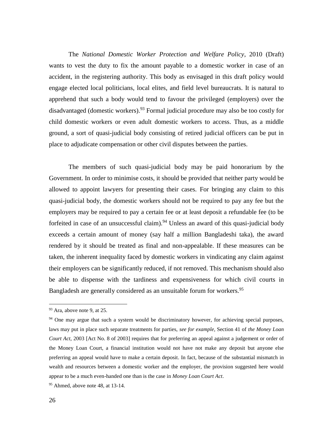The *National Domestic Worker Protection and Welfare Policy*, 2010 (Draft) wants to vest the duty to fix the amount payable to a domestic worker in case of an accident, in the registering authority. This body as envisaged in this draft policy would engage elected local politicians, local elites, and field level bureaucrats. It is natural to apprehend that such a body would tend to favour the privileged (employers) over the disadvantaged (domestic workers). <sup>93</sup> Formal judicial procedure may also be too costly for child domestic workers or even adult domestic workers to access. Thus, as a middle ground, a sort of quasi-judicial body consisting of retired judicial officers can be put in place to adjudicate compensation or other civil disputes between the parties.

The members of such quasi-judicial body may be paid honorarium by the Government. In order to minimise costs, it should be provided that neither party would be allowed to appoint lawyers for presenting their cases. For bringing any claim to this quasi-judicial body, the domestic workers should not be required to pay any fee but the employers may be required to pay a certain fee or at least deposit a refundable fee (to be forfeited in case of an unsuccessful claim).<sup>94</sup> Unless an award of this quasi-judicial body exceeds a certain amount of money (say half a million Bangladeshi taka), the award rendered by it should be treated as final and non-appealable. If these measures can be taken, the inherent inequality faced by domestic workers in vindicating any claim against their employers can be significantly reduced, if not removed. This mechanism should also be able to dispense with the tardiness and expensiveness for which civil courts in Bangladesh are generally considered as an unsuitable forum for workers.<sup>95</sup>

 $93$  Ara, above note 9, at 25.

<sup>&</sup>lt;sup>94</sup> One may argue that such a system would be discriminatory however, for achieving special purposes, laws may put in place such separate treatments for parties, *see for example*, Section 41 of *the Money Loan Court Act*, 2003 [Act No. 8 of 2003] requires that for preferring an appeal against a judgement or order of the Money Loan Court, a financial institution would not have not make any deposit but anyone else preferring an appeal would have to make a certain deposit. In fact, because of the substantial mismatch in wealth and resources between a domestic worker and the employer, the provision suggested here would appear to be a much even-handed one than is the case in *Money Loan Court Act*.

<sup>&</sup>lt;sup>95</sup> Ahmed, above note 48, at 13-14.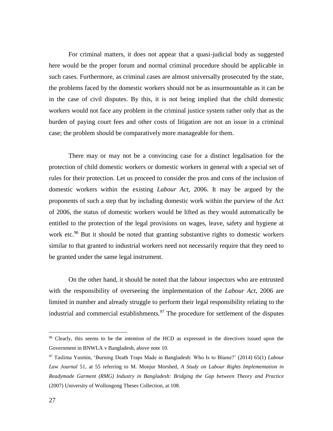For criminal matters, it does not appear that a quasi-judicial body as suggested here would be the proper forum and normal criminal procedure should be applicable in such cases. Furthermore, as criminal cases are almost universally prosecuted by the state, the problems faced by the domestic workers should not be as insurmountable as it can be in the case of civil disputes. By this, it is not being implied that the child domestic workers would not face any problem in the criminal justice system rather only that as the burden of paying court fees and other costs of litigation are not an issue in a criminal case; the problem should be comparatively more manageable for them.

There may or may not be a convincing case for a distinct legalisation for the protection of child domestic workers or domestic workers in general with a special set of rules for their protection. Let us proceed to consider the pros and cons of the inclusion of domestic workers within the existing *Labour Act*, 2006. It may be argued by the proponents of such a step that by including domestic work within the purview of the Act of 2006, the status of domestic workers would be lifted as they would automatically be entitled to the protection of the legal provisions on wages, leave, safety and hygiene at work etc.<sup>96</sup> But it should be noted that granting substantive rights to domestic workers similar to that granted to industrial workers need not necessarily require that they need to be granted under the same legal instrument.

On the other hand, it should be noted that the labour inspectors who are entrusted with the responsibility of overseeing the implementation of the *Labour Act*, 2006 are limited in number and already struggle to perform their legal responsibility relating to the industrial and commercial establishments.<sup>97</sup> The procedure for settlement of the disputes

<sup>&</sup>lt;sup>96</sup> Clearly, this seems to be the intention of the HCD as expressed in the directives issued upon the Government in BNWLA v Bangladesh, above note 10.

<sup>97</sup> Taslima Yasmin, 'Burning Death Traps Made in Bangladesh: Who Is to Blame?' (2014) 65(1) *Labour Law Journal* 51, at 55 referring to M. Monjur Morshed, *A Study on Labour Rights Implementation in Readymade Garment (RMG) Industry in Bangladesh: Bridging the Gap between Theory and Practice*  (2007) University of Wollongong Theses Collection, at 108.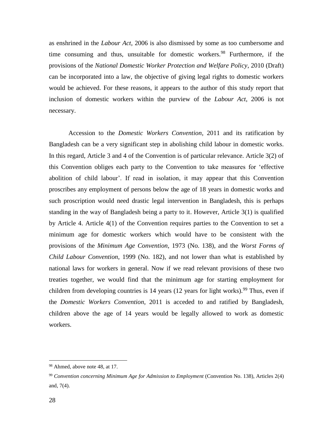as enshrined in the *Labour Act*, 2006 is also dismissed by some as too cumbersome and time consuming and thus, unsuitable for domestic workers.<sup>98</sup> Furthermore, if the provisions of the *National Domestic Worker Protection and Welfare Policy*, 2010 (Draft) can be incorporated into a law, the objective of giving legal rights to domestic workers would be achieved. For these reasons, it appears to the author of this study report that inclusion of domestic workers within the purview of the *Labour Act*, 2006 is not necessary.

Accession to the *Domestic Workers Convention*, 2011 and its ratification by Bangladesh can be a very significant step in abolishing child labour in domestic works. In this regard, Article 3 and 4 of the Convention is of particular relevance. Article 3(2) of this Convention obliges each party to the Convention to take measures for 'effective abolition of child labour'. If read in isolation, it may appear that this Convention proscribes any employment of persons below the age of 18 years in domestic works and such proscription would need drastic legal intervention in Bangladesh, this is perhaps standing in the way of Bangladesh being a party to it. However, Article 3(1) is qualified by Article 4. Article 4(1) of the Convention requires parties to the Convention to set a minimum age for domestic workers which would have to be consistent with the provisions of the *Minimum Age Convention*, 1973 (No. 138), and the *Worst Forms of Child Labour Convention*, 1999 (No. 182), and not lower than what is established by national laws for workers in general. Now if we read relevant provisions of these two treaties together, we would find that the minimum age for starting employment for children from developing countries is 14 years (12 years for light works).<sup>99</sup> Thus, even if the *Domestic Workers Convention*, 2011 is acceded to and ratified by Bangladesh, children above the age of 14 years would be legally allowed to work as domestic workers.

<sup>98</sup> Ahmed, above note 48, at 17.

<sup>99</sup> *Convention concerning Minimum Age for Admission to Employment* (Convention No. 138), Articles 2(4) and, 7(4).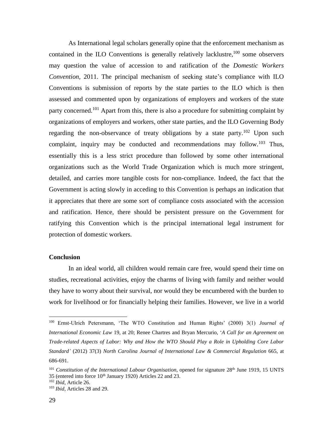As International legal scholars generally opine that the enforcement mechanism as contained in the ILO Conventions is generally relatively lacklustre,  $100$  some observers may question the value of accession to and ratification of the *Domestic Workers Convention*, 2011. The principal mechanism of seeking state's compliance with ILO Conventions is submission of reports by the state parties to the ILO which is then assessed and commented upon by organizations of employers and workers of the state party concerned.<sup>101</sup> Apart from this, there is also a procedure for submitting complaint by organizations of employers and workers, other state parties, and the ILO Governing Body regarding the non-observance of treaty obligations by a state party.<sup>102</sup> Upon such complaint, inquiry may be conducted and recommendations may follow.<sup>103</sup> Thus, essentially this is a less strict procedure than followed by some other international organizations such as the World Trade Organization which is much more stringent, detailed, and carries more tangible costs for non-compliance. Indeed, the fact that the Government is acting slowly in acceding to this Convention is perhaps an indication that it appreciates that there are some sort of compliance costs associated with the accession and ratification. Hence, there should be persistent pressure on the Government for ratifying this Convention which is the principal international legal instrument for protection of domestic workers.

#### **Conclusion**

In an ideal world, all children would remain care free, would spend their time on studies, recreational activities, enjoy the charms of living with family and neither would they have to worry about their survival, nor would they be encumbered with the burden to work for livelihood or for financially helping their families. However, we live in a world

<sup>100</sup> Ernst-Ulrich Petersmann, 'The WTO Constitution and Human Rights' (2000) 3(1) *Journal of International Economic Law* 19, at 20; Renee Chartres and Bryan Mercurio, '*A Call for an Agreement on Trade-related Aspects of Labor: Why and How the WTO Should Play a Role in Upholding Core Labor Standard'* (2012) 37(3) *North Carolina Journal of International Law & Commercial Regulation* 665, at 686-691.

<sup>&</sup>lt;sup>101</sup> *Constitution of the International Labour Organisation*, opened for signature 28<sup>th</sup> June 1919, 15 UNTS 35 (entered into force 10<sup>th</sup> January 1920) Articles 22 and 23.

<sup>102</sup> *Ibid*, Article 26.

<sup>103</sup> *Ibid*, Articles 28 and 29.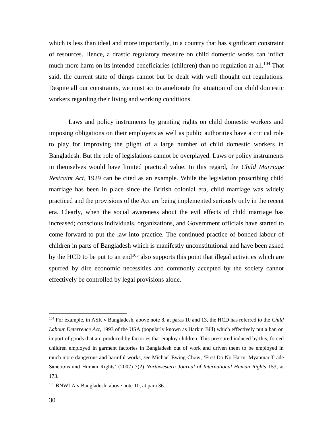which is less than ideal and more importantly, in a country that has significant constraint of resources. Hence, a drastic regulatory measure on child domestic works can inflict much more harm on its intended beneficiaries (children) than no regulation at all.<sup>104</sup> That said, the current state of things cannot but be dealt with well thought out regulations. Despite all our constraints, we must act to ameliorate the situation of our child domestic workers regarding their living and working conditions.

Laws and policy instruments by granting rights on child domestic workers and imposing obligations on their employers as well as public authorities have a critical role to play for improving the plight of a large number of child domestic workers in Bangladesh. But the role of legislations cannot be overplayed. Laws or policy instruments in themselves would have limited practical value. In this regard, the *Child Marriage Restraint Act*, 1929 can be cited as an example. While the legislation proscribing child marriage has been in place since the British colonial era, child marriage was widely practiced and the provisions of the Act are being implemented seriously only in the recent era. Clearly, when the social awareness about the evil effects of child marriage has increased; conscious individuals, organizations, and Government officials have started to come forward to put the law into practice. The continued practice of bonded labour of children in parts of Bangladesh which is manifestly unconstitutional and have been asked by the HCD to be put to an end<sup>105</sup> also supports this point that illegal activities which are spurred by dire economic necessities and commonly accepted by the society cannot effectively be controlled by legal provisions alone.

<sup>104</sup> For example, in ASK v Bangladesh, above note 8, at paras 10 and 13, the HCD has referred to the *Child Labour Deterrence Act*, 1993 of the USA (popularly known as Harkin Bill) which effectively put a ban on import of goods that are produced by factories that employ children. This pressured induced by this, forced children employed in garment factories in Bangladesh out of work and driven them to be employed in much more dangerous and harmful works, *see* Michael Ewing-Chow, 'First Do No Harm: Myanmar Trade Sanctions and Human Rights' (2007) 5(2) *Northwestern Journal of International Human Rights* 153, at 173.

<sup>105</sup> BNWLA v Bangladesh, above note 10, at para 36.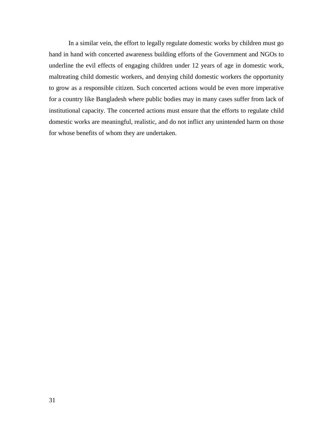In a similar vein, the effort to legally regulate domestic works by children must go hand in hand with concerted awareness building efforts of the Government and NGOs to underline the evil effects of engaging children under 12 years of age in domestic work, maltreating child domestic workers, and denying child domestic workers the opportunity to grow as a responsible citizen. Such concerted actions would be even more imperative for a country like Bangladesh where public bodies may in many cases suffer from lack of institutional capacity. The concerted actions must ensure that the efforts to regulate child domestic works are meaningful, realistic, and do not inflict any unintended harm on those for whose benefits of whom they are undertaken.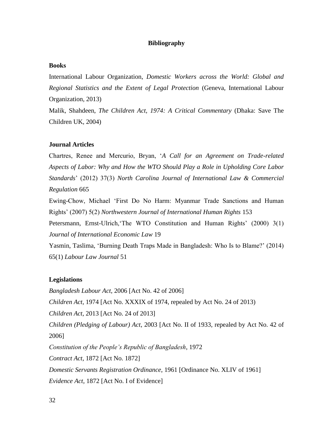### **Bibliography**

### **Books**

International Labour Organization, *Domestic Workers across the World: Global and Regional Statistics and the Extent of Legal Protection* (Geneva, International Labour Organization, 2013)

Malik, Shahdeen, *The Children Act, 1974: A Critical Commentary* (Dhaka: Save The Children UK, 2004)

#### **Journal Articles**

Chartres, Renee and Mercurio, Bryan, '*A Call for an Agreement on Trade-related Aspects of Labor: Why and How the WTO Should Play a Role in Upholding Core Labor Standards*' (2012) 37(3) *North Carolina Journal of International Law & Commercial Regulation* 665

Ewing-Chow, Michael 'First Do No Harm: Myanmar Trade Sanctions and Human Rights' (2007) 5(2) *Northwestern Journal of International Human Rights* 153

Petersmann, Ernst-Ulrich,'The WTO Constitution and Human Rights' (2000) 3(1) *Journal of International Economic Law* 19

Yasmin, Taslima, 'Burning Death Traps Made in Bangladesh: Who Is to Blame?' (2014) 65(1) *Labour Law Journal* 51

### **Legislations**

*Bangladesh Labour Act*, 2006 [Act No. 42 of 2006] *Children Act*, 1974 [Act No. XXXIX of 1974, repealed by Act No. 24 of 2013) *Children Act*, 2013 [Act No. 24 of 2013] *Children (Pledging of Labour) Act*, 2003 [Act No. II of 1933, repealed by Act No. 42 of 2006] *Constitution of the People's Republic of Bangladesh*, 1972 *Contract Act*, 1872 [Act No. 1872] *Domestic Servants Registration Ordinance*, 1961 [Ordinance No. XLIV of 1961] *Evidence Act*, 1872 [Act No. I of Evidence]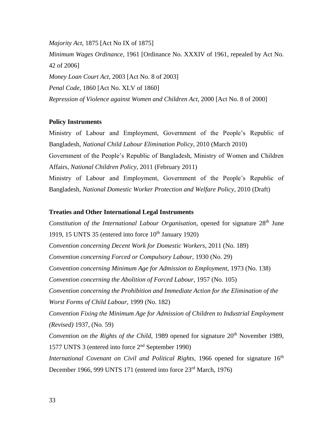*Majority Act*, 1875 [Act No IX of 1875] *Minimum Wages Ordinance*, 1961 [Ordinance No. XXXIV of 1961, repealed by Act No. 42 of 2006] *Money Loan Court Act*, 2003 [Act No. 8 of 2003] *Penal Code*, 1860 [Act No. XLV of 1860] *Repression of Violence against Women and Children Act*, 2000 [Act No. 8 of 2000]

#### **Policy Instruments**

Ministry of Labour and Employment, Government of the People's Republic of Bangladesh, *National Child Labour Elimination Policy*, 2010 (March 2010) Government of the People's Republic of Bangladesh, Ministry of Women and Children Affairs, *National Children Policy*, 2011 (February 2011) Ministry of Labour and Employment, Government of the People's Republic of Bangladesh, *National Domestic Worker Protection and Welfare Policy*, 2010 (Draft)

### **Treaties and Other International Legal Instruments**

*Constitution of the International Labour Organisation*, opened for signature 28<sup>th</sup> June 1919, 15 UNTS 35 (entered into force  $10<sup>th</sup>$  January 1920) *Convention concerning Decent Work for Domestic Workers*, 2011 (No. 189) *Convention concerning Forced or Compulsory Labour,* 1930 (No. 29) *Convention concerning Minimum Age for Admission to Employment*, 1973 (No. 138) *Convention concerning the Abolition of Forced Labour*, 1957 (No. 105) *Convention concerning the Prohibition and Immediate Action for the Elimination of the Worst Forms of Child Labour*, 1999 (No. 182) *Convention Fixing the Minimum Age for Admission of Children to Industrial Employment (Revised)* 1937, (No. 59) *Convention on the Rights of the Child*, 1989 opened for signature 20<sup>th</sup> November 1989, 1577 UNTS 3 (entered into force 2nd September 1990) *International Covenant on Civil and Political Rights*, 1966 opened for signature 16<sup>th</sup> December 1966, 999 UNTS 171 (entered into force 23<sup>rd</sup> March, 1976)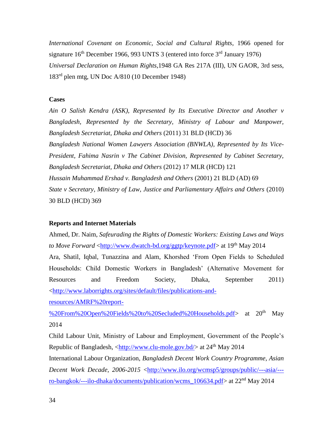*International Covenant on Economic, Social and Cultural Rights*, 1966 opened for signature  $16<sup>th</sup>$  December 1966, 993 UNTS 3 (entered into force  $3<sup>rd</sup>$  January 1976) *Universal Declaration on Human Rights*,1948 GA Res 217A (III), UN GAOR, 3rd sess, 183rd plen mtg, UN Doc A/810 (10 December 1948)

### **Cases**

*Ain O Salish Kendra (ASK), Represented by Its Executive Director and Another v Bangladesh, Represented by the Secretary, Ministry of Labour and Manpower, Bangladesh Secretariat, Dhaka and Others* (2011) 31 BLD (HCD) 36 *Bangladesh National Women Lawyers Association (BNWLA), Represented by Its Vice-President, Fahima Nasrin v The Cabinet Division, Represented by Cabinet Secretary, Bangladesh Secretariat, Dhaka and Others* (2012) 17 MLR (HCD) 121 *Hussain Muhammad Ershad v. Bangladesh and Others* (2001) 21 BLD (AD) 69 *State v Secretary, Ministry of Law, Justice and Parliamentary Affairs and Others* (2010) 30 BLD (HCD) 369

#### **Reports and Internet Materials**

Ahmed, Dr. Naim, *Safeurading the Rights of Domestic Workers: Existing Laws and Ways to Move Forward* <http://www.dwatch-bd.org/ggtp/keynote.pdf> at 19<sup>th</sup> May 2014 Ara, Shatil, Iqbal, Tunazzina and Alam, Khorshed 'From Open Fields to Scheduled Households: Child Domestic Workers in Bangladesh' (Alternative Movement for Resources and Freedom Society, Dhaka, September 2011) <http://www.laborrights.org/sites/default/files/publications-and-

resources/AMRF%20report-

%20From%20Open%20Fields%20to%20Secluded%20Households.pdf> at 20th May 2014

Child Labour Unit, Ministry of Labour and Employment, Government of the People's Republic of Bangladesh, <http://www.clu-mole.gov.bd/> at 24<sup>th</sup> May 2014

International Labour Organization, *Bangladesh Decent Work Country Programme*, *Asian Decent Work Decade, 2006-2015* <http://www.ilo.org/wcmsp5/groups/public/---asia/-- ro-bangkok/---ilo-dhaka/documents/publication/wcms\_106634.pdf> at 22nd May 2014